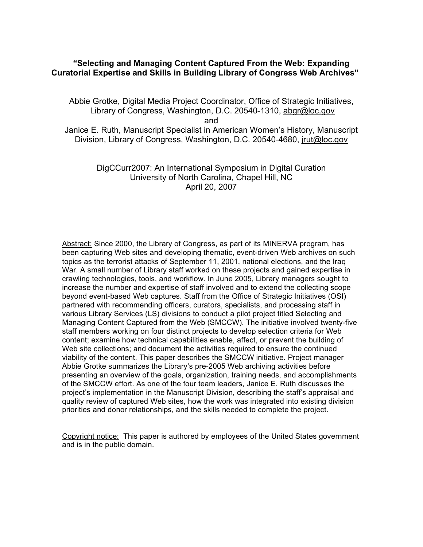# **"Selecting and Managing Content Captured From the Web: Expanding Curatorial Expertise and Skills in Building Library of Congress Web Archives"**

Abbie Grotke, Digital Media Project Coordinator, Office of Strategic Initiatives, Library of Congress, Washington, D.C. 20540-1310, abgr@loc.gov and

Janice E. Ruth, Manuscript Specialist in American Women's History, Manuscript Division, Library of Congress, Washington, D.C. 20540-4680, jrut@loc.gov

> DigCCurr2007: An International Symposium in Digital Curation University of North Carolina, Chapel Hill, NC April 20, 2007

Abstract: Since 2000, the Library of Congress, as part of its MINERVA program, has been capturing Web sites and developing thematic, event-driven Web archives on such topics as the terrorist attacks of September 11, 2001, national elections, and the Iraq War. A small number of Library staff worked on these projects and gained expertise in crawling technologies, tools, and workflow. In June 2005, Library managers sought to increase the number and expertise of staff involved and to extend the collecting scope beyond event-based Web captures. Staff from the Office of Strategic Initiatives (OSI) partnered with recommending officers, curators, specialists, and processing staff in various Library Services (LS) divisions to conduct a pilot project titled Selecting and Managing Content Captured from the Web (SMCCW). The initiative involved twenty-five staff members working on four distinct projects to develop selection criteria for Web content; examine how technical capabilities enable, affect, or prevent the building of Web site collections; and document the activities required to ensure the continued viability of the content. This paper describes the SMCCW initiative. Project manager Abbie Grotke summarizes the Library's pre-2005 Web archiving activities before presenting an overview of the goals, organization, training needs, and accomplishments of the SMCCW effort. As one of the four team leaders, Janice E. Ruth discusses the project's implementation in the Manuscript Division, describing the staff's appraisal and quality review of captured Web sites, how the work was integrated into existing division priorities and donor relationships, and the skills needed to complete the project.

Copyright notice: This paper is authored by employees of the United States government and is in the public domain.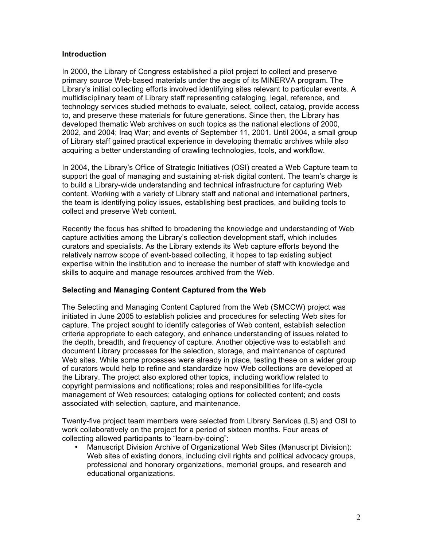### **Introduction**

In 2000, the Library of Congress established a pilot project to collect and preserve primary source Web-based materials under the aegis of its MINERVA program. The Library's initial collecting efforts involved identifying sites relevant to particular events. A multidisciplinary team of Library staff representing cataloging, legal, reference, and technology services studied methods to evaluate, select, collect, catalog, provide access to, and preserve these materials for future generations. Since then, the Library has developed thematic Web archives on such topics as the national elections of 2000, 2002, and 2004; Iraq War; and events of September 11, 2001. Until 2004, a small group of Library staff gained practical experience in developing thematic archives while also acquiring a better understanding of crawling technologies, tools, and workflow.

In 2004, the Library's Office of Strategic Initiatives (OSI) created a Web Capture team to support the goal of managing and sustaining at-risk digital content. The team's charge is to build a Library-wide understanding and technical infrastructure for capturing Web content. Working with a variety of Library staff and national and international partners, the team is identifying policy issues, establishing best practices, and building tools to collect and preserve Web content.

Recently the focus has shifted to broadening the knowledge and understanding of Web capture activities among the Library's collection development staff, which includes curators and specialists. As the Library extends its Web capture efforts beyond the relatively narrow scope of event-based collecting, it hopes to tap existing subject expertise within the institution and to increase the number of staff with knowledge and skills to acquire and manage resources archived from the Web.

## **Selecting and Managing Content Captured from the Web**

The Selecting and Managing Content Captured from the Web (SMCCW) project was initiated in June 2005 to establish policies and procedures for selecting Web sites for capture. The project sought to identify categories of Web content, establish selection criteria appropriate to each category, and enhance understanding of issues related to the depth, breadth, and frequency of capture. Another objective was to establish and document Library processes for the selection, storage, and maintenance of captured Web sites. While some processes were already in place, testing these on a wider group of curators would help to refine and standardize how Web collections are developed at the Library. The project also explored other topics, including workflow related to copyright permissions and notifications; roles and responsibilities for life-cycle management of Web resources; cataloging options for collected content; and costs associated with selection, capture, and maintenance.

Twenty-five project team members were selected from Library Services (LS) and OSI to work collaboratively on the project for a period of sixteen months. Four areas of collecting allowed participants to "learn-by-doing":

• Manuscript Division Archive of Organizational Web Sites (Manuscript Division): Web sites of existing donors, including civil rights and political advocacy groups, professional and honorary organizations, memorial groups, and research and educational organizations.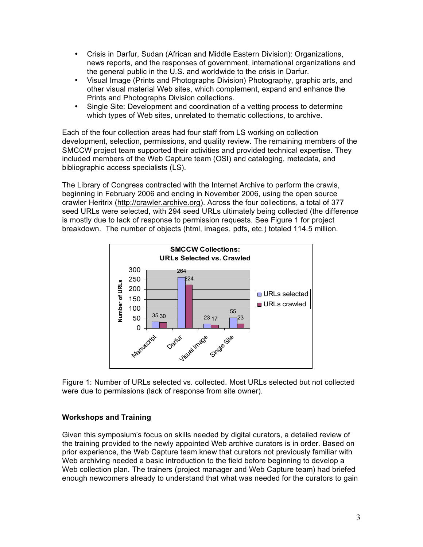- Crisis in Darfur, Sudan (African and Middle Eastern Division): Organizations, news reports, and the responses of government, international organizations and the general public in the U.S. and worldwide to the crisis in Darfur.
- Visual Image (Prints and Photographs Division) Photography, graphic arts, and other visual material Web sites, which complement, expand and enhance the Prints and Photographs Division collections.
- Single Site: Development and coordination of a vetting process to determine which types of Web sites, unrelated to thematic collections, to archive.

Each of the four collection areas had four staff from LS working on collection development, selection, permissions, and quality review. The remaining members of the SMCCW project team supported their activities and provided technical expertise. They included members of the Web Capture team (OSI) and cataloging, metadata, and bibliographic access specialists (LS).

The Library of Congress contracted with the Internet Archive to perform the crawls, beginning in February 2006 and ending in November 2006, using the open source crawler Heritrix (http://crawler.archive.org). Across the four collections, a total of 377 seed URLs were selected, with 294 seed URLs ultimately being collected (the difference is mostly due to lack of response to permission requests. See Figure 1 for project breakdown. The number of objects (html, images, pdfs, etc.) totaled 114.5 million.



Figure 1: Number of URLs selected vs. collected. Most URLs selected but not collected were due to permissions (lack of response from site owner).

## **Workshops and Training**

Given this symposium's focus on skills needed by digital curators, a detailed review of the training provided to the newly appointed Web archive curators is in order. Based on prior experience, the Web Capture team knew that curators not previously familiar with Web archiving needed a basic introduction to the field before beginning to develop a Web collection plan. The trainers (project manager and Web Capture team) had briefed enough newcomers already to understand that what was needed for the curators to gain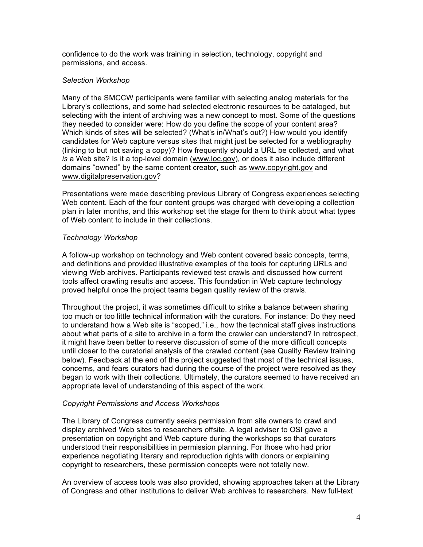confidence to do the work was training in selection, technology, copyright and permissions, and access.

### *Selection Workshop*

Many of the SMCCW participants were familiar with selecting analog materials for the Library's collections, and some had selected electronic resources to be cataloged, but selecting with the intent of archiving was a new concept to most. Some of the questions they needed to consider were: How do you define the scope of your content area? Which kinds of sites will be selected? (What's in/What's out?) How would you identify candidates for Web capture versus sites that might just be selected for a webliography (linking to but not saving a copy)? How frequently should a URL be collected, and what *is* a Web site? Is it a top-level domain (www.loc.gov), or does it also include different domains "owned" by the same content creator, such as www.copyright.gov and www.digitalpreservation.gov?

Presentations were made describing previous Library of Congress experiences selecting Web content. Each of the four content groups was charged with developing a collection plan in later months, and this workshop set the stage for them to think about what types of Web content to include in their collections.

## *Technology Workshop*

A follow-up workshop on technology and Web content covered basic concepts, terms, and definitions and provided illustrative examples of the tools for capturing URLs and viewing Web archives. Participants reviewed test crawls and discussed how current tools affect crawling results and access. This foundation in Web capture technology proved helpful once the project teams began quality review of the crawls.

Throughout the project, it was sometimes difficult to strike a balance between sharing too much or too little technical information with the curators. For instance: Do they need to understand how a Web site is "scoped," i.e., how the technical staff gives instructions about what parts of a site to archive in a form the crawler can understand? In retrospect, it might have been better to reserve discussion of some of the more difficult concepts until closer to the curatorial analysis of the crawled content (see Quality Review training below). Feedback at the end of the project suggested that most of the technical issues, concerns, and fears curators had during the course of the project were resolved as they began to work with their collections. Ultimately, the curators seemed to have received an appropriate level of understanding of this aspect of the work.

#### *Copyright Permissions and Access Workshops*

The Library of Congress currently seeks permission from site owners to crawl and display archived Web sites to researchers offsite. A legal adviser to OSI gave a presentation on copyright and Web capture during the workshops so that curators understood their responsibilities in permission planning. For those who had prior experience negotiating literary and reproduction rights with donors or explaining copyright to researchers, these permission concepts were not totally new.

An overview of access tools was also provided, showing approaches taken at the Library of Congress and other institutions to deliver Web archives to researchers. New full-text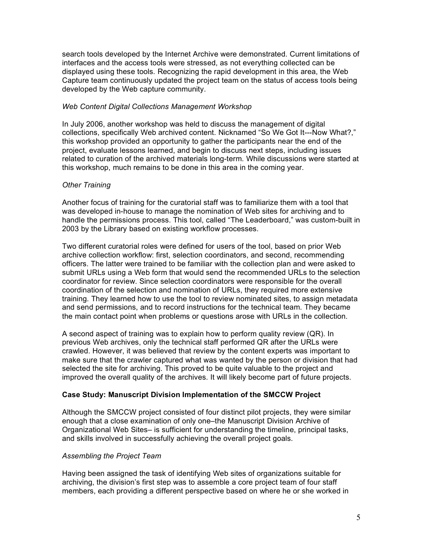search tools developed by the Internet Archive were demonstrated. Current limitations of interfaces and the access tools were stressed, as not everything collected can be displayed using these tools. Recognizing the rapid development in this area, the Web Capture team continuously updated the project team on the status of access tools being developed by the Web capture community.

## *Web Content Digital Collections Management Workshop*

In July 2006, another workshop was held to discuss the management of digital collections, specifically Web archived content. Nicknamed "So We Got It---Now What?," this workshop provided an opportunity to gather the participants near the end of the project, evaluate lessons learned, and begin to discuss next steps, including issues related to curation of the archived materials long-term. While discussions were started at this workshop, much remains to be done in this area in the coming year.

# *Other Training*

Another focus of training for the curatorial staff was to familiarize them with a tool that was developed in-house to manage the nomination of Web sites for archiving and to handle the permissions process. This tool, called "The Leaderboard," was custom-built in 2003 by the Library based on existing workflow processes.

Two different curatorial roles were defined for users of the tool, based on prior Web archive collection workflow: first, selection coordinators, and second, recommending officers. The latter were trained to be familiar with the collection plan and were asked to submit URLs using a Web form that would send the recommended URLs to the selection coordinator for review. Since selection coordinators were responsible for the overall coordination of the selection and nomination of URLs, they required more extensive training. They learned how to use the tool to review nominated sites, to assign metadata and send permissions, and to record instructions for the technical team. They became the main contact point when problems or questions arose with URLs in the collection.

A second aspect of training was to explain how to perform quality review (QR). In previous Web archives, only the technical staff performed QR after the URLs were crawled. However, it was believed that review by the content experts was important to make sure that the crawler captured what was wanted by the person or division that had selected the site for archiving. This proved to be quite valuable to the project and improved the overall quality of the archives. It will likely become part of future projects.

# **Case Study: Manuscript Division Implementation of the SMCCW Project**

Although the SMCCW project consisted of four distinct pilot projects, they were similar enough that a close examination of only one–the Manuscript Division Archive of Organizational Web Sites– is sufficient for understanding the timeline, principal tasks, and skills involved in successfully achieving the overall project goals.

## *Assembling the Project Team*

Having been assigned the task of identifying Web sites of organizations suitable for archiving, the division's first step was to assemble a core project team of four staff members, each providing a different perspective based on where he or she worked in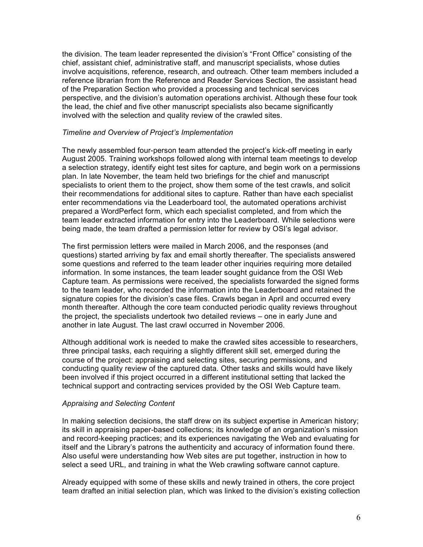the division. The team leader represented the division's "Front Office" consisting of the chief, assistant chief, administrative staff, and manuscript specialists, whose duties involve acquisitions, reference, research, and outreach. Other team members included a reference librarian from the Reference and Reader Services Section, the assistant head of the Preparation Section who provided a processing and technical services perspective, and the division's automation operations archivist. Although these four took the lead, the chief and five other manuscript specialists also became significantly involved with the selection and quality review of the crawled sites.

### *Timeline and Overview of Project's Implementation*

The newly assembled four-person team attended the project's kick-off meeting in early August 2005. Training workshops followed along with internal team meetings to develop a selection strategy, identify eight test sites for capture, and begin work on a permissions plan. In late November, the team held two briefings for the chief and manuscript specialists to orient them to the project, show them some of the test crawls, and solicit their recommendations for additional sites to capture. Rather than have each specialist enter recommendations via the Leaderboard tool, the automated operations archivist prepared a WordPerfect form, which each specialist completed, and from which the team leader extracted information for entry into the Leaderboard. While selections were being made, the team drafted a permission letter for review by OSI's legal advisor.

The first permission letters were mailed in March 2006, and the responses (and questions) started arriving by fax and email shortly thereafter. The specialists answered some questions and referred to the team leader other inquiries requiring more detailed information. In some instances, the team leader sought guidance from the OSI Web Capture team. As permissions were received, the specialists forwarded the signed forms to the team leader, who recorded the information into the Leaderboard and retained the signature copies for the division's case files. Crawls began in April and occurred every month thereafter. Although the core team conducted periodic quality reviews throughout the project, the specialists undertook two detailed reviews – one in early June and another in late August. The last crawl occurred in November 2006.

Although additional work is needed to make the crawled sites accessible to researchers, three principal tasks, each requiring a slightly different skill set, emerged during the course of the project: appraising and selecting sites, securing permissions, and conducting quality review of the captured data. Other tasks and skills would have likely been involved if this project occurred in a different institutional setting that lacked the technical support and contracting services provided by the OSI Web Capture team.

#### *Appraising and Selecting Content*

In making selection decisions, the staff drew on its subject expertise in American history; its skill in appraising paper-based collections; its knowledge of an organization's mission and record-keeping practices; and its experiences navigating the Web and evaluating for itself and the Library's patrons the authenticity and accuracy of information found there. Also useful were understanding how Web sites are put together, instruction in how to select a seed URL, and training in what the Web crawling software cannot capture.

Already equipped with some of these skills and newly trained in others, the core project team drafted an initial selection plan, which was linked to the division's existing collection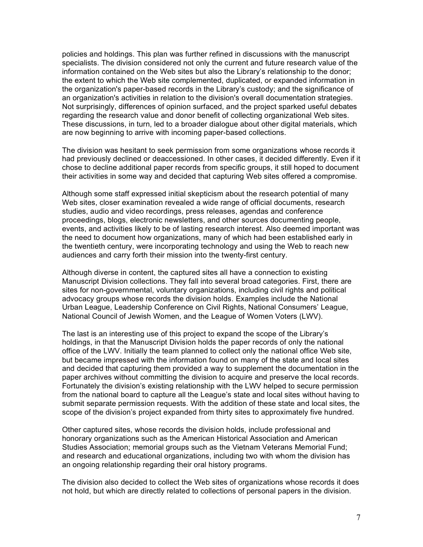policies and holdings. This plan was further refined in discussions with the manuscript specialists. The division considered not only the current and future research value of the information contained on the Web sites but also the Library's relationship to the donor; the extent to which the Web site complemented, duplicated, or expanded information in the organization's paper-based records in the Library's custody; and the significance of an organization's activities in relation to the division's overall documentation strategies. Not surprisingly, differences of opinion surfaced, and the project sparked useful debates regarding the research value and donor benefit of collecting organizational Web sites. These discussions, in turn, led to a broader dialogue about other digital materials, which are now beginning to arrive with incoming paper-based collections.

The division was hesitant to seek permission from some organizations whose records it had previously declined or deaccessioned. In other cases, it decided differently. Even if it chose to decline additional paper records from specific groups, it still hoped to document their activities in some way and decided that capturing Web sites offered a compromise.

Although some staff expressed initial skepticism about the research potential of many Web sites, closer examination revealed a wide range of official documents, research studies, audio and video recordings, press releases, agendas and conference proceedings, blogs, electronic newsletters, and other sources documenting people, events, and activities likely to be of lasting research interest. Also deemed important was the need to document how organizations, many of which had been established early in the twentieth century, were incorporating technology and using the Web to reach new audiences and carry forth their mission into the twenty-first century.

Although diverse in content, the captured sites all have a connection to existing Manuscript Division collections. They fall into several broad categories. First, there are sites for non-governmental, voluntary organizations, including civil rights and political advocacy groups whose records the division holds. Examples include the National Urban League, Leadership Conference on Civil Rights, National Consumers' League, National Council of Jewish Women, and the League of Women Voters (LWV).

The last is an interesting use of this project to expand the scope of the Library's holdings, in that the Manuscript Division holds the paper records of only the national office of the LWV. Initially the team planned to collect only the national office Web site, but became impressed with the information found on many of the state and local sites and decided that capturing them provided a way to supplement the documentation in the paper archives without committing the division to acquire and preserve the local records. Fortunately the division's existing relationship with the LWV helped to secure permission from the national board to capture all the League's state and local sites without having to submit separate permission requests. With the addition of these state and local sites, the scope of the division's project expanded from thirty sites to approximately five hundred.

Other captured sites, whose records the division holds, include professional and honorary organizations such as the American Historical Association and American Studies Association; memorial groups such as the Vietnam Veterans Memorial Fund; and research and educational organizations, including two with whom the division has an ongoing relationship regarding their oral history programs.

The division also decided to collect the Web sites of organizations whose records it does not hold, but which are directly related to collections of personal papers in the division.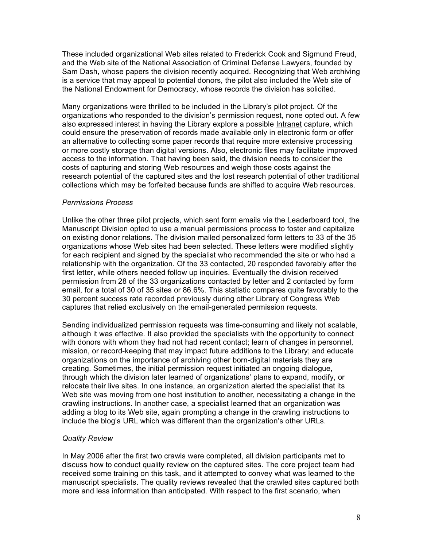These included organizational Web sites related to Frederick Cook and Sigmund Freud, and the Web site of the National Association of Criminal Defense Lawyers, founded by Sam Dash, whose papers the division recently acquired. Recognizing that Web archiving is a service that may appeal to potential donors, the pilot also included the Web site of the National Endowment for Democracy, whose records the division has solicited.

Many organizations were thrilled to be included in the Library's pilot project. Of the organizations who responded to the division's permission request, none opted out. A few also expressed interest in having the Library explore a possible Intranet capture, which could ensure the preservation of records made available only in electronic form or offer an alternative to collecting some paper records that require more extensive processing or more costly storage than digital versions. Also, electronic files may facilitate improved access to the information. That having been said, the division needs to consider the costs of capturing and storing Web resources and weigh those costs against the research potential of the captured sites and the lost research potential of other traditional collections which may be forfeited because funds are shifted to acquire Web resources.

### *Permissions Process*

Unlike the other three pilot projects, which sent form emails via the Leaderboard tool, the Manuscript Division opted to use a manual permissions process to foster and capitalize on existing donor relations. The division mailed personalized form letters to 33 of the 35 organizations whose Web sites had been selected. These letters were modified slightly for each recipient and signed by the specialist who recommended the site or who had a relationship with the organization. Of the 33 contacted, 20 responded favorably after the first letter, while others needed follow up inquiries. Eventually the division received permission from 28 of the 33 organizations contacted by letter and 2 contacted by form email, for a total of 30 of 35 sites or 86.6%. This statistic compares quite favorably to the 30 percent success rate recorded previously during other Library of Congress Web captures that relied exclusively on the email-generated permission requests.

Sending individualized permission requests was time-consuming and likely not scalable, although it was effective. It also provided the specialists with the opportunity to connect with donors with whom they had not had recent contact; learn of changes in personnel, mission, or record-keeping that may impact future additions to the Library; and educate organizations on the importance of archiving other born-digital materials they are creating. Sometimes, the initial permission request initiated an ongoing dialogue, through which the division later learned of organizations' plans to expand, modify, or relocate their live sites. In one instance, an organization alerted the specialist that its Web site was moving from one host institution to another, necessitating a change in the crawling instructions. In another case, a specialist learned that an organization was adding a blog to its Web site, again prompting a change in the crawling instructions to include the blog's URL which was different than the organization's other URLs.

## *Quality Review*

In May 2006 after the first two crawls were completed, all division participants met to discuss how to conduct quality review on the captured sites. The core project team had received some training on this task, and it attempted to convey what was learned to the manuscript specialists. The quality reviews revealed that the crawled sites captured both more and less information than anticipated. With respect to the first scenario, when